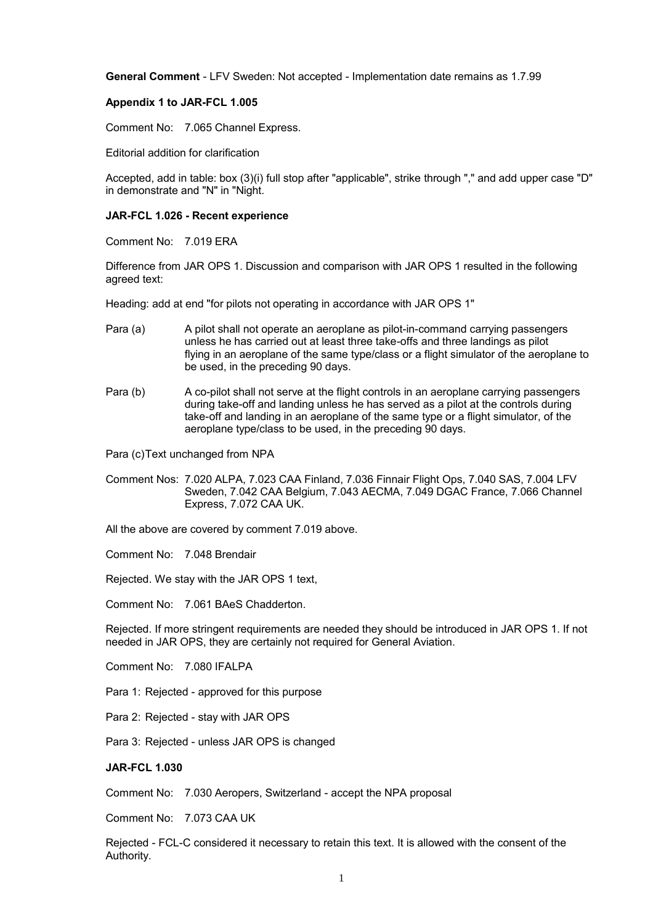**General Comment** - LFV Sweden: Not accepted - Implementation date remains as 1.7.99

# **Appendix 1 to JAR-FCL 1.005**

Comment No: 7.065 Channel Express.

Editorial addition for clarification

Accepted, add in table: box (3)(i) full stop after "applicable", strike through "," and add upper case "D" in demonstrate and "N" in "Night.

# **JAR-FCL 1.026 - Recent experience**

Comment No: 7.019 ERA

Difference from JAR OPS 1. Discussion and comparison with JAR OPS 1 resulted in the following agreed text:

Heading: add at end "for pilots not operating in accordance with JAR OPS 1"

- Para (a) A pilot shall not operate an aeroplane as pilot-in-command carrying passengers unless he has carried out at least three take-offs and three landings as pilot flying in an aeroplane of the same type/class or a flight simulator of the aeroplane to be used, in the preceding 90 days.
- Para (b) A co-pilot shall not serve at the flight controls in an aeroplane carrying passengers during take-off and landing unless he has served as a pilot at the controls during take-off and landing in an aeroplane of the same type or a flight simulator, of the aeroplane type/class to be used, in the preceding 90 days.

Para (c)Text unchanged from NPA

Comment Nos: 7.020 ALPA, 7.023 CAA Finland, 7.036 Finnair Flight Ops, 7.040 SAS, 7.004 LFV Sweden, 7.042 CAA Belgium, 7.043 AECMA, 7.049 DGAC France, 7.066 Channel Express, 7.072 CAA UK.

All the above are covered by comment 7.019 above.

Comment No: 7.048 Brendair

Rejected. We stay with the JAR OPS 1 text,

Comment No: 7.061 BAeS Chadderton.

Rejected. If more stringent requirements are needed they should be introduced in JAR OPS 1. If not needed in JAR OPS, they are certainly not required for General Aviation.

Comment No: 7.080 IFALPA

Para 1: Rejected - approved for this purpose

Para 2: Rejected - stay with JAR OPS

Para 3: Rejected - unless JAR OPS is changed

### **JAR-FCL 1.030**

Comment No: 7.030 Aeropers, Switzerland - accept the NPA proposal

Comment No: 7.073 CAA UK

Rejected - FCL-C considered it necessary to retain this text. It is allowed with the consent of the Authority.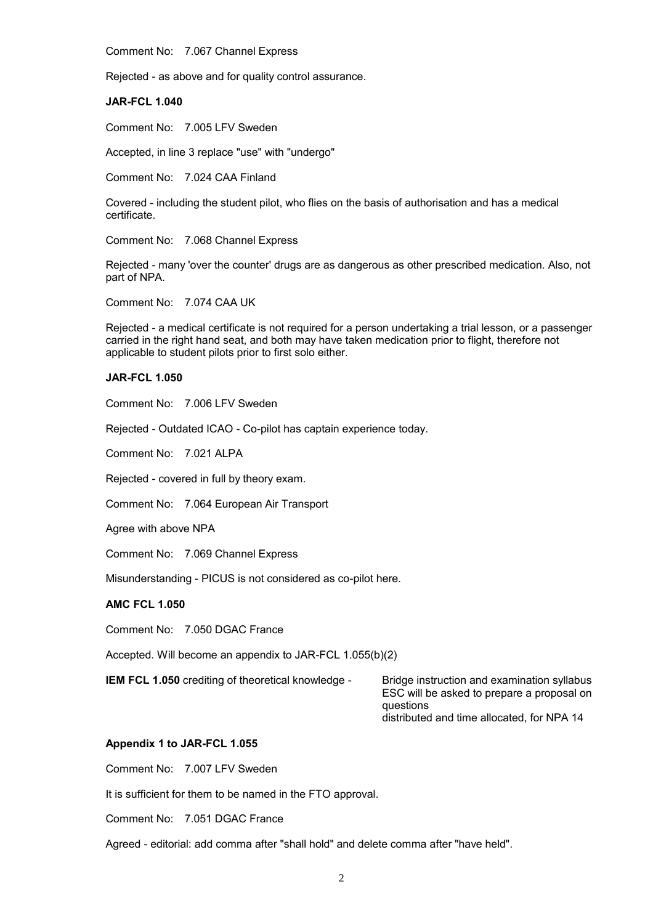Comment No: 7.067 Channel Express

Rejected - as above and for quality control assurance.

**JAR-FCL 1.040**

Comment No: 7.005 LFV Sweden

Accepted, in line 3 replace "use" with "undergo"

Comment No: 7.024 CAA Finland

Covered - including the student pilot, who flies on the basis of authorisation and has a medical certificate.

Comment No: 7.068 Channel Express

Rejected - many 'over the counter' drugs are as dangerous as other prescribed medication. Also, not part of NPA.

Comment No: 7.074 CAA UK

Rejected - a medical certificate is not required for a person undertaking a trial lesson, or a passenger carried in the right hand seat, and both may have taken medication prior to flight, therefore not applicable to student pilots prior to first solo either.

# **JAR-FCL 1.050**

Comment No: 7.006 LFV Sweden

Rejected - Outdated ICAO - Co-pilot has captain experience today.

Comment No: 7.021 ALPA

Rejected - covered in full by theory exam.

Comment No: 7.064 European Air Transport

Agree with above NPA

Comment No: 7.069 Channel Express

Misunderstanding - PICUS is not considered as co-pilot here.

### **AMC FCL 1.050**

Comment No: 7.050 DGAC France

Accepted. Will become an appendix to JAR-FCL 1.055(b)(2)

**IEM FCL 1.050** crediting of theoretical knowledge - Bridge instruction and examination syllabus

ESC will be asked to prepare a proposal on questions distributed and time allocated, for NPA 14

### **Appendix 1 to JAR-FCL 1.055**

Comment No: 7.007 LFV Sweden

It is sufficient for them to be named in the FTO approval.

Comment No: 7.051 DGAC France

Agreed - editorial: add comma after "shall hold" and delete comma after "have held".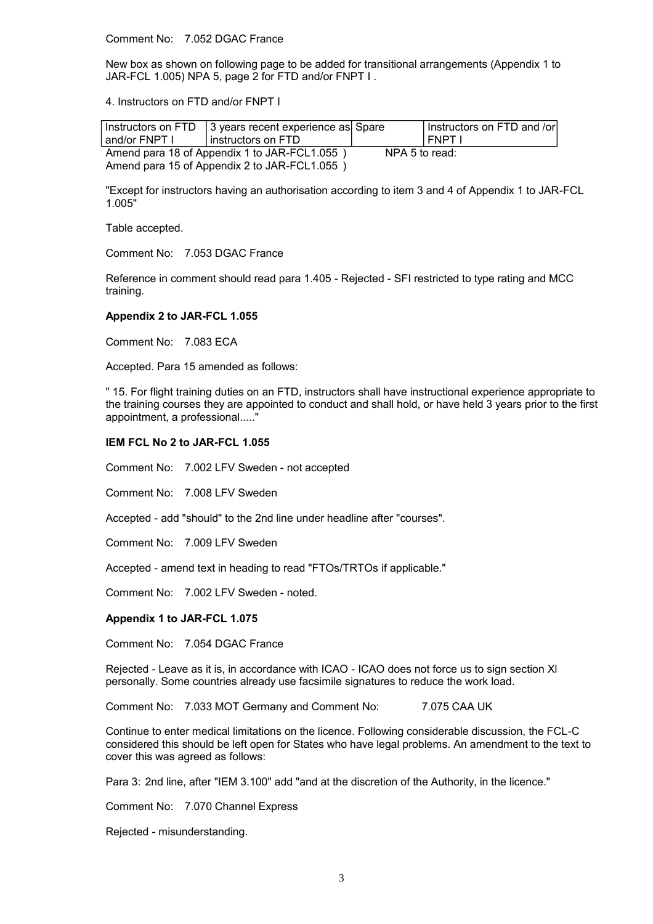Comment No: 7.052 DGAC France

New box as shown on following page to be added for transitional arrangements (Appendix 1 to JAR-FCL 1.005) NPA 5, page 2 for FTD and/or FNPT I .

4. Instructors on FTD and/or FNPT I

| and/or FNPT I                                | Instructors on $FTD$ 3 years recent experience as Spare<br>l instructors on FTD |                | Instructors on FTD and /or<br>l FNPT I |
|----------------------------------------------|---------------------------------------------------------------------------------|----------------|----------------------------------------|
| Amend para 18 of Appendix 1 to JAR-FCL1.055) |                                                                                 | NPA 5 to read: |                                        |
| Amend para 15 of Appendix 2 to JAR-FCL1.055) |                                                                                 |                |                                        |

"Except for instructors having an authorisation according to item 3 and 4 of Appendix 1 to JAR-FCL 1.005"

Table accepted.

Comment No: 7.053 DGAC France

Reference in comment should read para 1.405 - Rejected - SFI restricted to type rating and MCC training.

#### **Appendix 2 to JAR-FCL 1.055**

Comment No: 7.083 ECA

Accepted. Para 15 amended as follows:

" 15. For flight training duties on an FTD, instructors shall have instructional experience appropriate to the training courses they are appointed to conduct and shall hold, or have held 3 years prior to the first appointment, a professional.....

# **IEM FCL No 2 to JAR-FCL 1.055**

Comment No: 7.002 LFV Sweden - not accepted

Comment No: 7.008 LFV Sweden

Accepted - add "should" to the 2nd line under headline after "courses".

Comment No: 7.009 LFV Sweden

Accepted - amend text in heading to read "FTOs/TRTOs if applicable."

Comment No: 7.002 LFV Sweden - noted.

#### **Appendix 1 to JAR-FCL 1.075**

Comment No: 7.054 DGAC France

Rejected - Leave as it is, in accordance with ICAO - ICAO does not force us to sign section Xl personally. Some countries already use facsimile signatures to reduce the work load.

Comment No: 7.033 MOT Germany and Comment No: 7.075 CAA UK

Continue to enter medical limitations on the licence. Following considerable discussion, the FCL-C considered this should be left open for States who have legal problems. An amendment to the text to cover this was agreed as follows:

Para 3: 2nd line, after "IEM 3.100" add "and at the discretion of the Authority, in the licence."

Comment No: 7.070 Channel Express

Rejected - misunderstanding.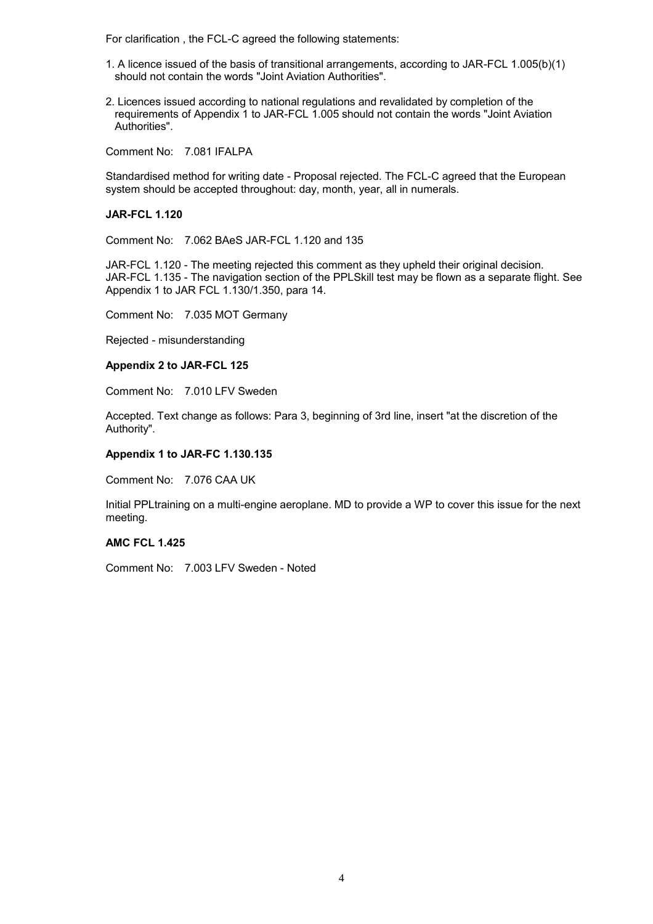For clarification , the FCL-C agreed the following statements:

- 1. A licence issued of the basis of transitional arrangements, according to JAR-FCL 1.005(b)(1) should not contain the words "Joint Aviation Authorities".
- 2. Licences issued according to national regulations and revalidated by completion of the requirements of Appendix 1 to JAR-FCL 1.005 should not contain the words "Joint Aviation Authorities".

Comment No: 7.081 IFALPA

Standardised method for writing date - Proposal rejected. The FCL-C agreed that the European system should be accepted throughout: day, month, year, all in numerals.

### **JAR-FCL 1.120**

Comment No: 7.062 BAeS JAR-FCL 1.120 and 135

JAR-FCL 1.120 - The meeting rejected this comment as they upheld their original decision. JAR-FCL 1.135 - The navigation section of the PPLSkill test may be flown as a separate flight. See Appendix 1 to JAR FCL 1.130/1.350, para 14.

Comment No: 7.035 MOT Germany

Rejected - misunderstanding

#### **Appendix 2 to JAR-FCL 125**

Comment No: 7.010 LFV Sweden

Accepted. Text change as follows: Para 3, beginning of 3rd line, insert "at the discretion of the Authority".

## **Appendix 1 to JAR-FC 1.130.135**

Comment No: 7.076 CAA UK

Initial PPLtraining on a multi-engine aeroplane. MD to provide a WP to cover this issue for the next meeting.

### **AMC FCL 1.425**

Comment No: 7.003 LFV Sweden - Noted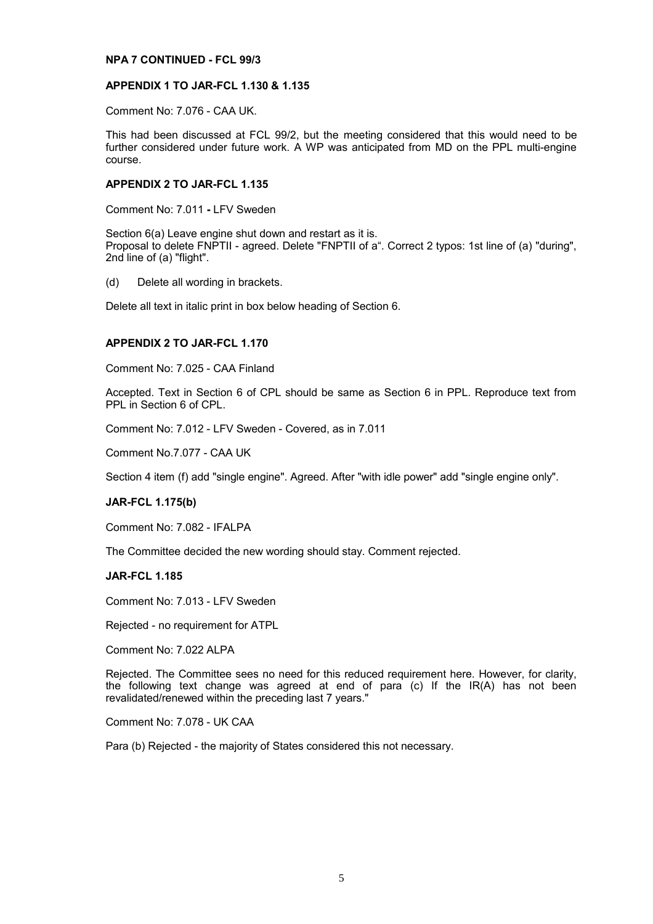### **NPA 7 CONTINUED - FCL 99/3**

## **APPENDIX 1 TO JAR-FCL 1.130 & 1.135**

Comment No: 7.076 - CAA UK.

This had been discussed at FCL 99/2, but the meeting considered that this would need to be further considered under future work. A WP was anticipated from MD on the PPL multi-engine course.

# **APPENDIX 2 TO JAR-FCL 1.135**

Comment No: 7.011 **-** LFV Sweden

Section 6(a) Leave engine shut down and restart as it is. Proposal to delete FNPTII - agreed. Delete "FNPTII of a". Correct 2 typos: 1st line of (a) "during", 2nd line of (a) "flight".

(d) Delete all wording in brackets.

Delete all text in italic print in box below heading of Section 6.

# **APPENDIX 2 TO JAR-FCL 1.170**

Comment No: 7.025 - CAA Finland

Accepted. Text in Section 6 of CPL should be same as Section 6 in PPL. Reproduce text from PPL in Section 6 of CPL.

Comment No: 7.012 - LFV Sweden - Covered, as in 7.011

Comment No.7.077 - CAA UK

Section 4 item (f) add "single engine". Agreed. After "with idle power" add "single engine only".

### **JAR-FCL 1.175(b)**

Comment No: 7.082 - IFALPA

The Committee decided the new wording should stay. Comment rejected.

### **JAR-FCL 1.185**

Comment No: 7.013 - LFV Sweden

Rejected - no requirement for ATPL

Comment No: 7.022 ALPA

Rejected. The Committee sees no need for this reduced requirement here. However, for clarity, the following text change was agreed at end of para (c) If the IR(A) has not been revalidated/renewed within the preceding last 7 years."

Comment No: 7.078 - UK CAA

Para (b) Rejected - the majority of States considered this not necessary.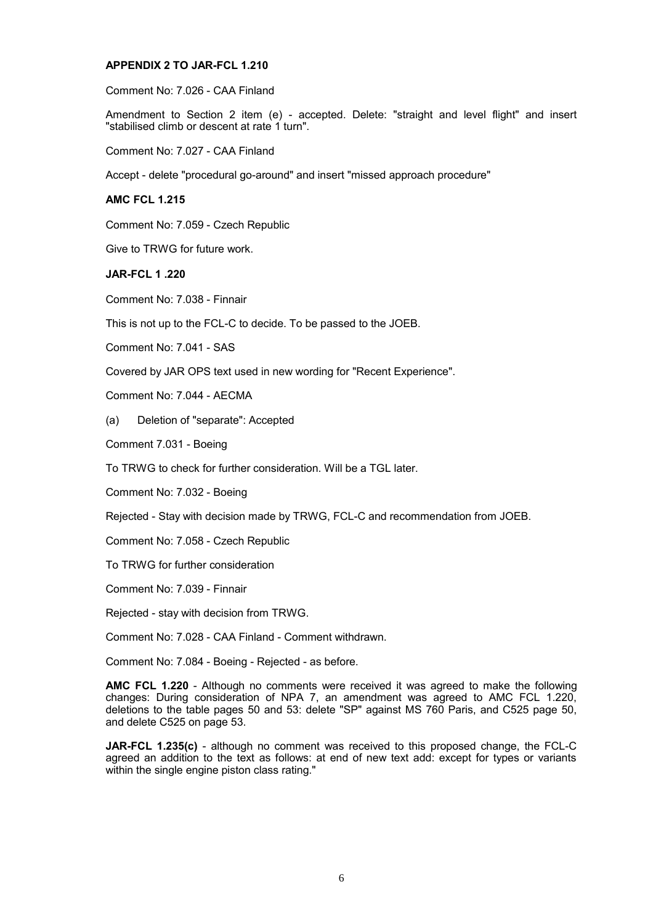### **APPENDIX 2 TO JAR-FCL 1.210**

Comment No: 7.026 - CAA Finland

Amendment to Section 2 item (e) - accepted. Delete: "straight and level flight" and insert "stabilised climb or descent at rate 1 turn".

Comment No: 7.027 - CAA Finland

Accept - delete "procedural go-around" and insert "missed approach procedure"

# **AMC FCL 1.215**

Comment No: 7.059 - Czech Republic

Give to TRWG for future work.

**JAR-FCL 1 .220**

Comment No: 7.038 - Finnair

This is not up to the FCL-C to decide. To be passed to the JOEB.

Comment No: 7.041 - SAS

Covered by JAR OPS text used in new wording for "Recent Experience".

Comment No: 7.044 - AECMA

(a) Deletion of "separate": Accepted

Comment 7.031 - Boeing

To TRWG to check for further consideration. Will be a TGL later.

Comment No: 7.032 - Boeing

Rejected - Stay with decision made by TRWG, FCL-C and recommendation from JOEB.

Comment No: 7.058 - Czech Republic

To TRWG for further consideration

Comment No: 7.039 - Finnair

Rejected - stay with decision from TRWG.

Comment No: 7.028 - CAA Finland - Comment withdrawn.

Comment No: 7.084 - Boeing - Rejected - as before.

**AMC FCL 1.220** - Although no comments were received it was agreed to make the following changes: During consideration of NPA 7, an amendment was agreed to AMC FCL 1.220, deletions to the table pages 50 and 53: delete "SP" against MS 760 Paris, and C525 page 50, and delete C525 on page 53.

**JAR-FCL 1.235(c)** - although no comment was received to this proposed change, the FCL-C agreed an addition to the text as follows: at end of new text add: except for types or variants within the single engine piston class rating."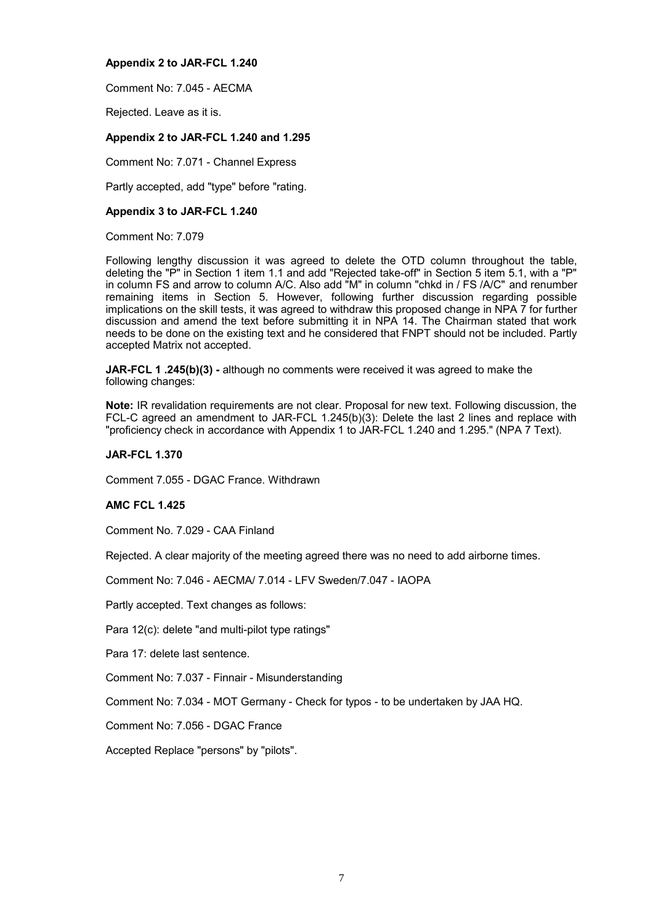# **Appendix 2 to JAR-FCL 1.240**

Comment No: 7.045 - AECMA

Rejected. Leave as it is.

# **Appendix 2 to JAR-FCL 1.240 and 1.295**

Comment No: 7.071 - Channel Express

Partly accepted, add "type" before "rating.

# **Appendix 3 to JAR-FCL 1.240**

Comment No: 7.079

Following lengthy discussion it was agreed to delete the OTD column throughout the table, deleting the "P" in Section 1 item 1.1 and add "Rejected take-off" in Section 5 item 5.1, with a "P" in column FS and arrow to column A/C. Also add "M" in column "chkd in / FS /A/C" and renumber remaining items in Section 5. However, following further discussion regarding possible implications on the skill tests, it was agreed to withdraw this proposed change in NPA 7 for further discussion and amend the text before submitting it in NPA 14. The Chairman stated that work needs to be done on the existing text and he considered that FNPT should not be included. Partly accepted Matrix not accepted.

**JAR-FCL 1 .245(b)(3) -** although no comments were received it was agreed to make the following changes:

**Note:** IR revalidation requirements are not clear. Proposal for new text. Following discussion, the FCL-C agreed an amendment to JAR-FCL 1.245(b)(3): Delete the last 2 lines and replace with "proficiency check in accordance with Appendix 1 to JAR-FCL 1.240 and 1.295." (NPA 7 Text).

# **JAR-FCL 1.370**

Comment 7.055 - DGAC France. Withdrawn

# **AMC FCL 1.425**

Comment No. 7.029 - CAA Finland

Rejected. A clear majority of the meeting agreed there was no need to add airborne times.

Comment No: 7.046 - AECMA/ 7.014 - LFV Sweden/7.047 - IAOPA

Partly accepted. Text changes as follows:

Para 12(c): delete "and multi-pilot type ratings"

Para 17: delete last sentence.

Comment No: 7.037 - Finnair - Misunderstanding

Comment No: 7.034 - MOT Germany - Check for typos - to be undertaken by JAA HQ.

Comment No: 7.056 - DGAC France

Accepted Replace "persons" by "pilots".